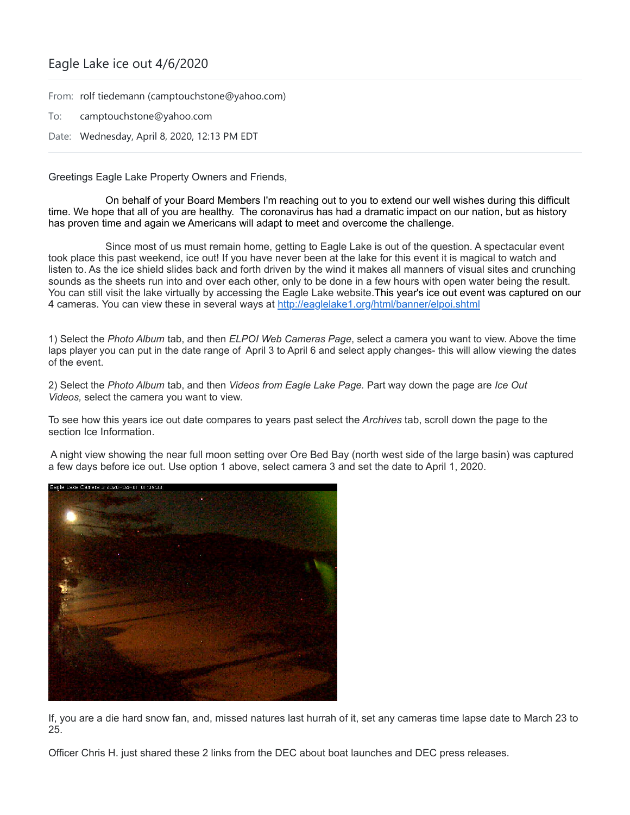## Eagle Lake ice out 4/6/2020

From: rolf tiedemann (camptouchstone@yahoo.com)

To: camptouchstone@yahoo.com

Date: Wednesday, April 8, 2020, 12:13 PM EDT

Greetings Eagle Lake Property Owners and Friends,

On behalf of your Board Members I'm reaching out to you to extend our well wishes during this difficult time. We hope that all of you are healthy. The coronavirus has had a dramatic impact on our nation, but as history has proven time and again we Americans will adapt to meet and overcome the challenge.

Since most of us must remain home, getting to Eagle Lake is out of the question. A spectacular event took place this past weekend, ice out! If you have never been at the lake for this event it is magical to watch and listen to. As the ice shield slides back and forth driven by the wind it makes all manners of visual sites and crunching sounds as the sheets run into and over each other, only to be done in a few hours with open water being the result. You can still visit the lake virtually by accessing the Eagle Lake website.This year's ice out event was captured on our 4 cameras. You can view these in several ways at <http://eaglelake1.org/html/banner/elpoi.shtml>

1) Select the *Photo Album* tab, and then *ELPOI Web Cameras Page*, select a camera you want to view. Above the time laps player you can put in the date range of April 3 to April 6 and select apply changes- this will allow viewing the dates of the event.

2) Select the *Photo Album* tab, and then *Videos from Eagle Lake Page.* Part way down the page are *Ice Out Videos,* select the camera you want to view.

To see how this years ice out date compares to years past select the *Archives* tab, scroll down the page to the section Ice Information.

A night view showing the near full moon setting over Ore Bed Bay (north west side of the large basin) was captured a few days before ice out. Use option 1 above, select camera 3 and set the date to April 1, 2020.



If, you are a die hard snow fan, and, missed natures last hurrah of it, set any cameras time lapse date to March 23 to 25.

Officer Chris H. just shared these 2 links from the DEC about boat launches and DEC press releases.